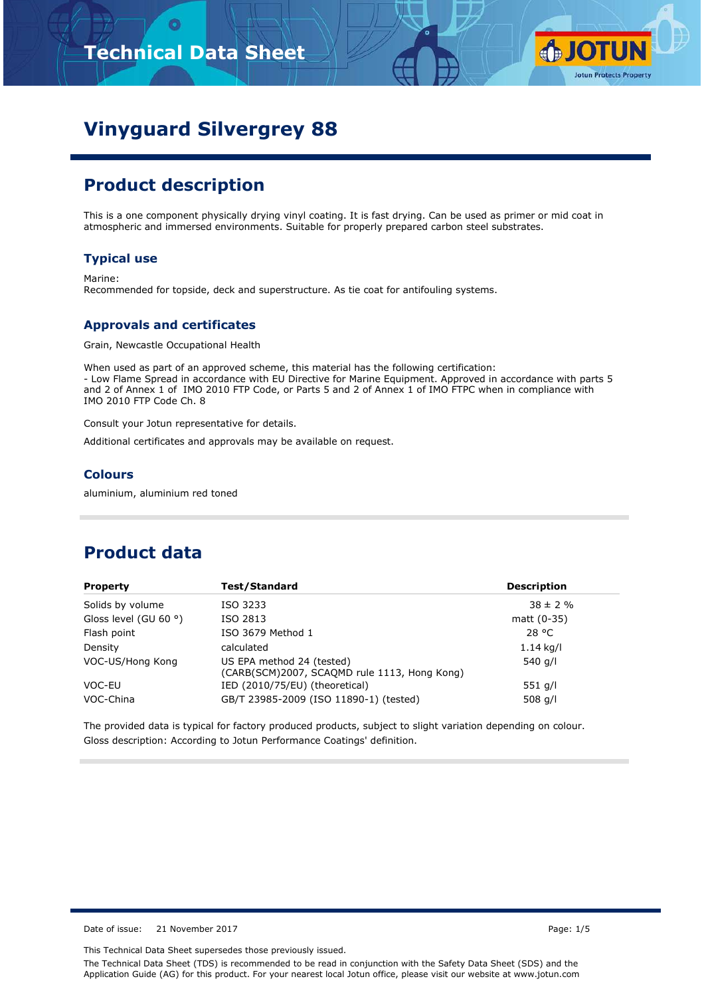

# **Vinyguard Silvergrey 88**

## **Product description**

This is a one component physically drying vinyl coating. It is fast drying. Can be used as primer or mid coat in atmospheric and immersed environments. Suitable for properly prepared carbon steel substrates.

#### **Typical use**

Marine: Recommended for topside, deck and superstructure. As tie coat for antifouling systems.

#### **Approvals and certificates**

Grain, Newcastle Occupational Health

When used as part of an approved scheme, this material has the following certification: - Low Flame Spread in accordance with EU Directive for Marine Equipment. Approved in accordance with parts 5 and 2 of Annex 1 of IMO 2010 FTP Code, or Parts 5 and 2 of Annex 1 of IMO FTPC when in compliance with IMO 2010 FTP Code Ch. 8

Consult your Jotun representative for details.

Additional certificates and approvals may be available on request.

#### **Colours**

aluminium, aluminium red toned

### **Product data**

| <b>Property</b>                | Test/Standard                                                             | <b>Description</b> |
|--------------------------------|---------------------------------------------------------------------------|--------------------|
| Solids by volume               | ISO 3233                                                                  | $38 \pm 2 \%$      |
| Gloss level (GU 60 $\degree$ ) | ISO 2813                                                                  | matt (0-35)        |
| Flash point                    | ISO 3679 Method 1                                                         | 28 °C              |
| Density                        | calculated                                                                | $1.14$ kg/l        |
| VOC-US/Hong Kong               | US EPA method 24 (tested)<br>(CARB(SCM)2007, SCAQMD rule 1113, Hong Kong) | 540 g/l            |
| VOC-EU                         | IED (2010/75/EU) (theoretical)                                            | 551 g/l            |
| VOC-China                      | GB/T 23985-2009 (ISO 11890-1) (tested)                                    | 508 $q/l$          |

The provided data is typical for factory produced products, subject to slight variation depending on colour. Gloss description: According to Jotun Performance Coatings' definition.

Date of issue: 21 November 2017 **Page: 1/5** 

This Technical Data Sheet supersedes those previously issued.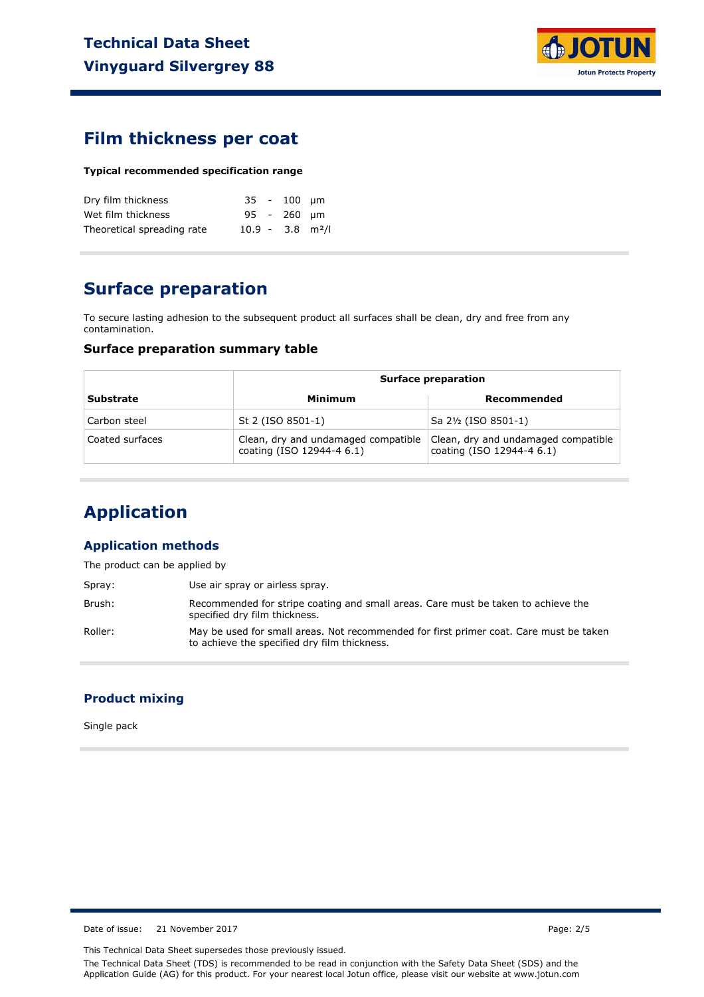

### **Film thickness per coat**

#### **Typical recommended specification range**

| Dry film thickness         |                                | 35 - 100 um |  |
|----------------------------|--------------------------------|-------------|--|
| Wet film thickness         |                                | 95 - 260 um |  |
| Theoretical spreading rate | $10.9 - 3.8$ m <sup>2</sup> /l |             |  |

### **Surface preparation**

To secure lasting adhesion to the subsequent product all surfaces shall be clean, dry and free from any contamination.

#### **Surface preparation summary table**

|                  | <b>Surface preparation</b>                                       |                                                                  |  |
|------------------|------------------------------------------------------------------|------------------------------------------------------------------|--|
| <b>Substrate</b> | Minimum                                                          | Recommended                                                      |  |
| Carbon steel     | St 2 (ISO 8501-1)                                                | Sa 2½ (ISO 8501-1)                                               |  |
| Coated surfaces  | Clean, dry and undamaged compatible<br>coating (ISO 12944-4 6.1) | Clean, dry and undamaged compatible<br>coating (ISO 12944-4 6.1) |  |

## **Application**

#### **Application methods**

The product can be applied by

| Spray:  | Use air spray or airless spray.                                                                                                        |
|---------|----------------------------------------------------------------------------------------------------------------------------------------|
| Brush:  | Recommended for stripe coating and small areas. Care must be taken to achieve the<br>specified dry film thickness.                     |
| Roller: | May be used for small areas. Not recommended for first primer coat. Care must be taken<br>to achieve the specified dry film thickness. |

#### **Product mixing**

Single pack

Date of issue: 21 November 2017 Page: 2/5

This Technical Data Sheet supersedes those previously issued.

The Technical Data Sheet (TDS) is recommended to be read in conjunction with the Safety Data Sheet (SDS) and the Application Guide (AG) for this product. For your nearest local Jotun office, please visit our website at www.jotun.com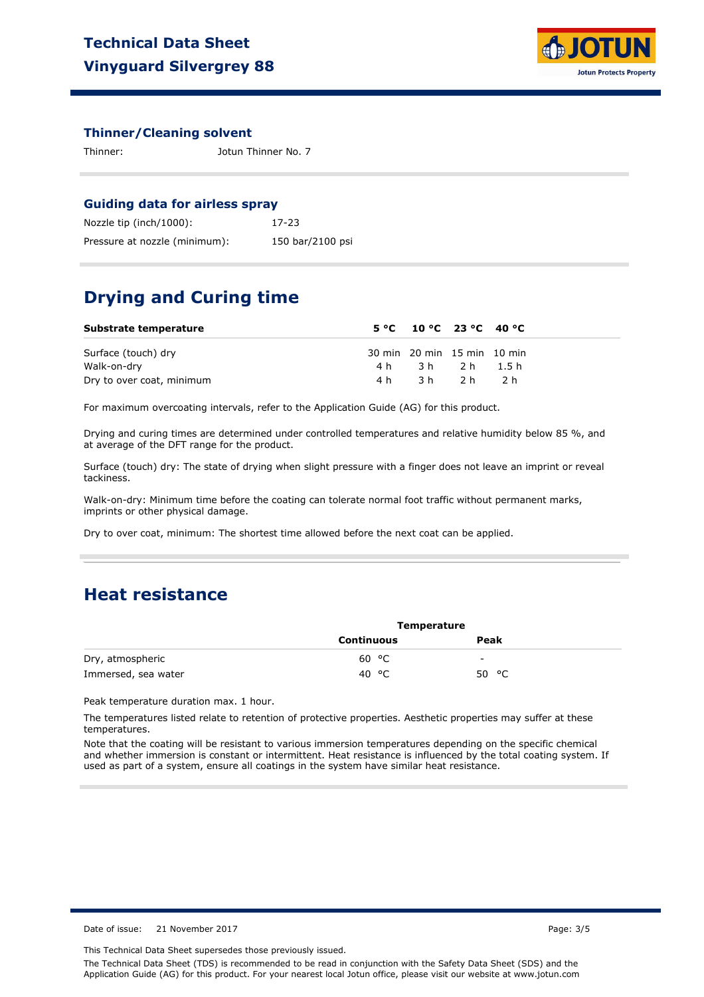

#### **Thinner/Cleaning solvent**

| Thinner: | Jotun Thinner No. 7 |
|----------|---------------------|
|          |                     |

#### **Guiding data for airless spray**

| Nozzle tip (inch/1000):       | 17-23            |
|-------------------------------|------------------|
| Pressure at nozzle (minimum): | 150 bar/2100 psi |

## **Drying and Curing time**

| Substrate temperature     |     | $5^{\circ}$ C $10^{\circ}$ C $23^{\circ}$ C $40^{\circ}$ C |     |  |
|---------------------------|-----|------------------------------------------------------------|-----|--|
| Surface (touch) dry       |     | 30 min 20 min 15 min 10 min                                |     |  |
| Walk-on-dry               |     | 4h 3h 2h 1.5h                                              |     |  |
| Dry to over coat, minimum | 4 h | 3h 2h                                                      | 2 h |  |

For maximum overcoating intervals, refer to the Application Guide (AG) for this product.

Drying and curing times are determined under controlled temperatures and relative humidity below 85 %, and at average of the DFT range for the product.

Surface (touch) dry: The state of drying when slight pressure with a finger does not leave an imprint or reveal tackiness.

Walk-on-dry: Minimum time before the coating can tolerate normal foot traffic without permanent marks, imprints or other physical damage.

Dry to over coat, minimum: The shortest time allowed before the next coat can be applied.

### **Heat resistance**

|                     | Temperature       |                |  |
|---------------------|-------------------|----------------|--|
|                     | <b>Continuous</b> | Peak           |  |
| Dry, atmospheric    | 60 °C             | -              |  |
| Immersed, sea water | 40 °C             | 50 $\degree$ C |  |

Peak temperature duration max. 1 hour.

The temperatures listed relate to retention of protective properties. Aesthetic properties may suffer at these temperatures.

Note that the coating will be resistant to various immersion temperatures depending on the specific chemical and whether immersion is constant or intermittent. Heat resistance is influenced by the total coating system. If used as part of a system, ensure all coatings in the system have similar heat resistance.

Date of issue: 21 November 2017 **Page: 3/5** 

This Technical Data Sheet supersedes those previously issued.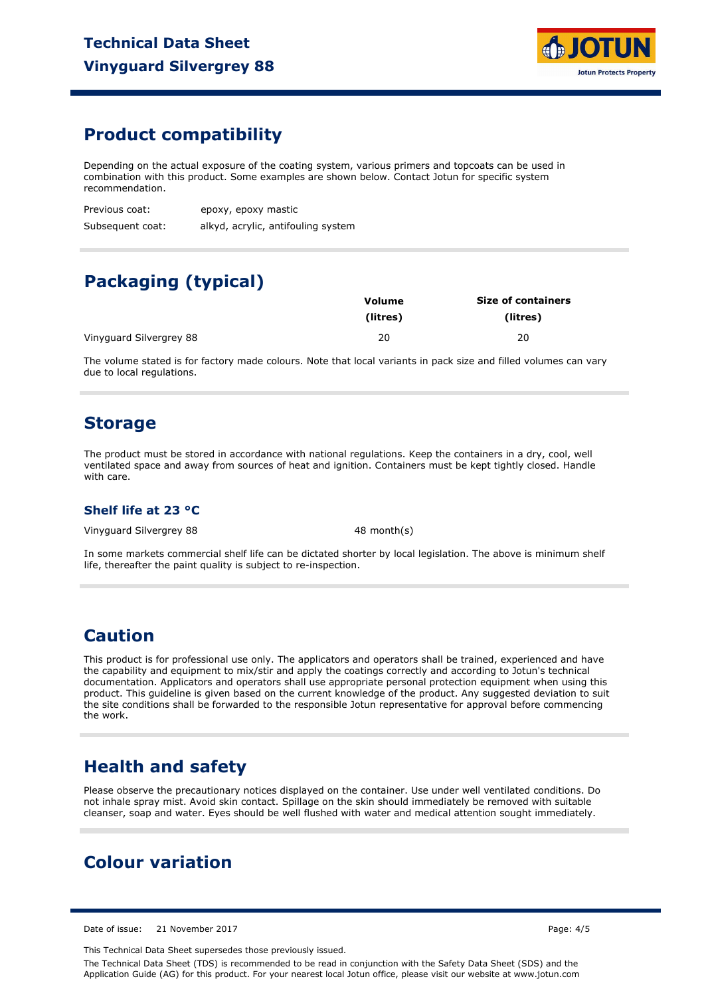

### **Product compatibility**

Depending on the actual exposure of the coating system, various primers and topcoats can be used in combination with this product. Some examples are shown below. Contact Jotun for specific system recommendation.

Previous coat: epoxy, epoxy mastic

Subsequent coat: alkyd, acrylic, antifouling system

## **Packaging (typical)**

|                         | Volume   | <b>Size of containers</b> |  |  |
|-------------------------|----------|---------------------------|--|--|
|                         | (litres) | (litres)                  |  |  |
| Vinyguard Silvergrey 88 | 20       | 20                        |  |  |

The volume stated is for factory made colours. Note that local variants in pack size and filled volumes can vary due to local regulations.

### **Storage**

The product must be stored in accordance with national regulations. Keep the containers in a dry, cool, well ventilated space and away from sources of heat and ignition. Containers must be kept tightly closed. Handle with care.

#### **Shelf life at 23 °C**

Vinyguard Silvergrey 88 48 month(s)

In some markets commercial shelf life can be dictated shorter by local legislation. The above is minimum shelf life, thereafter the paint quality is subject to re-inspection.

### **Caution**

This product is for professional use only. The applicators and operators shall be trained, experienced and have the capability and equipment to mix/stir and apply the coatings correctly and according to Jotun's technical documentation. Applicators and operators shall use appropriate personal protection equipment when using this product. This guideline is given based on the current knowledge of the product. Any suggested deviation to suit the site conditions shall be forwarded to the responsible Jotun representative for approval before commencing the work.

## **Health and safety**

Please observe the precautionary notices displayed on the container. Use under well ventilated conditions. Do not inhale spray mist. Avoid skin contact. Spillage on the skin should immediately be removed with suitable cleanser, soap and water. Eyes should be well flushed with water and medical attention sought immediately.

### **Colour variation**

Date of issue: 21 November 2017 **Page: 4/5** 

This Technical Data Sheet supersedes those previously issued.

The Technical Data Sheet (TDS) is recommended to be read in conjunction with the Safety Data Sheet (SDS) and the Application Guide (AG) for this product. For your nearest local Jotun office, please visit our website at www.jotun.com